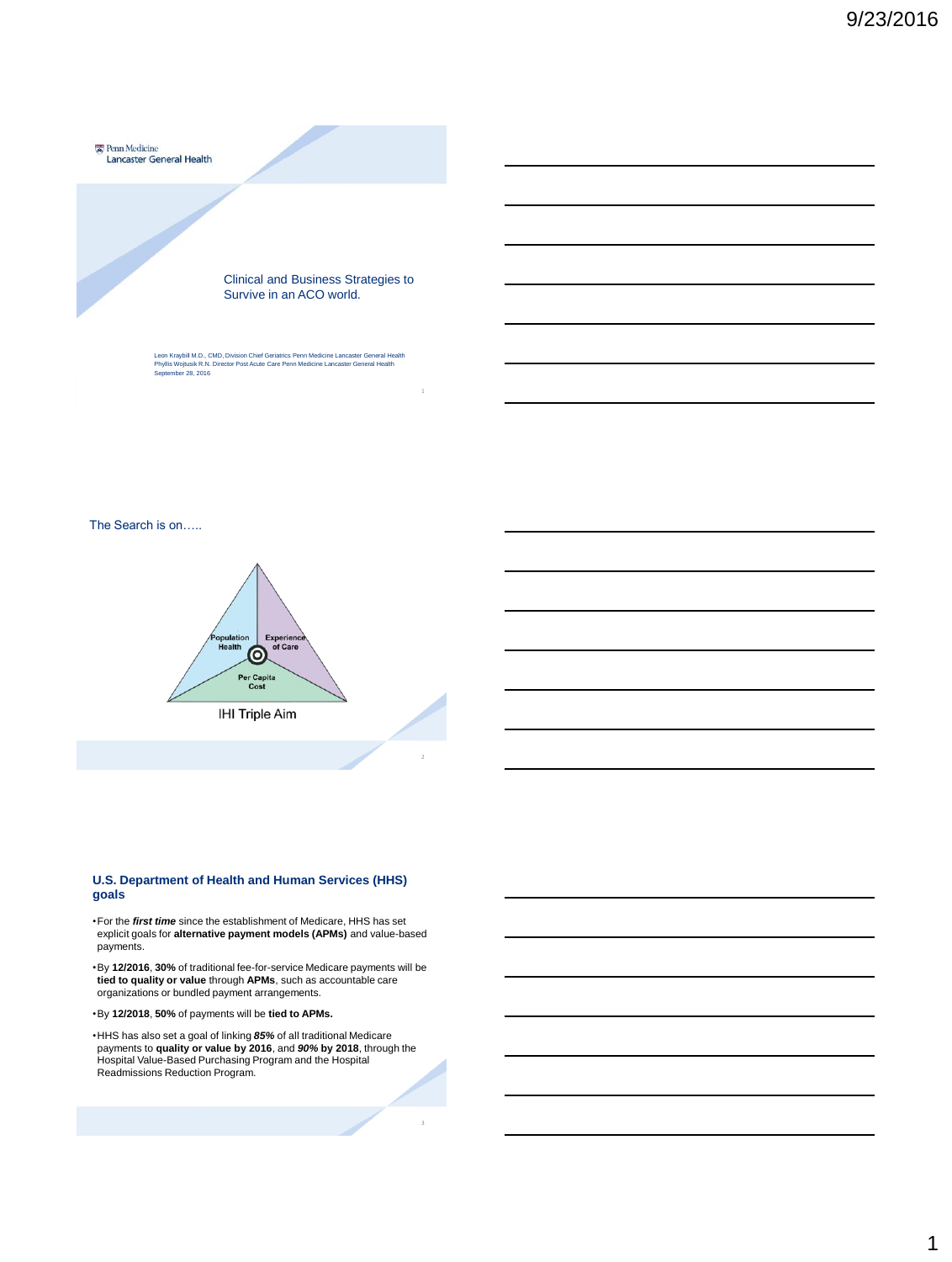

Leon Kraybill M.D., CMD, Division Chief Geriatrics Penn Medicine Lancaster General Health Phyllis Wojtusik R.N. Director Post Acute Care Penn Medicine Lancaster General Health September 28, 2016

The Search is on…..



#### **U.S. Department of Health and Human Services (HHS) goals**

•For the *first time* since the establishment of Medicare, HHS has set explicit goals for **alternative payment models (APMs)** and value-based payments.

•By **12/2016**, **30%** of traditional fee-for-service Medicare payments will be **tied to quality or value** through **APMs**, such as accountable care organizations or bundled payment arrangements.

•By **12/2018**, **50%** of payments will be **tied to APMs.**

•HHS has also set a goal of linking *85%* of all traditional Medicare payments to **quality or value by 2016**, and *90%* **by 2018**, through the Hospital Value-Based Purchasing Program and the Hospital Readmissions Reduction Program.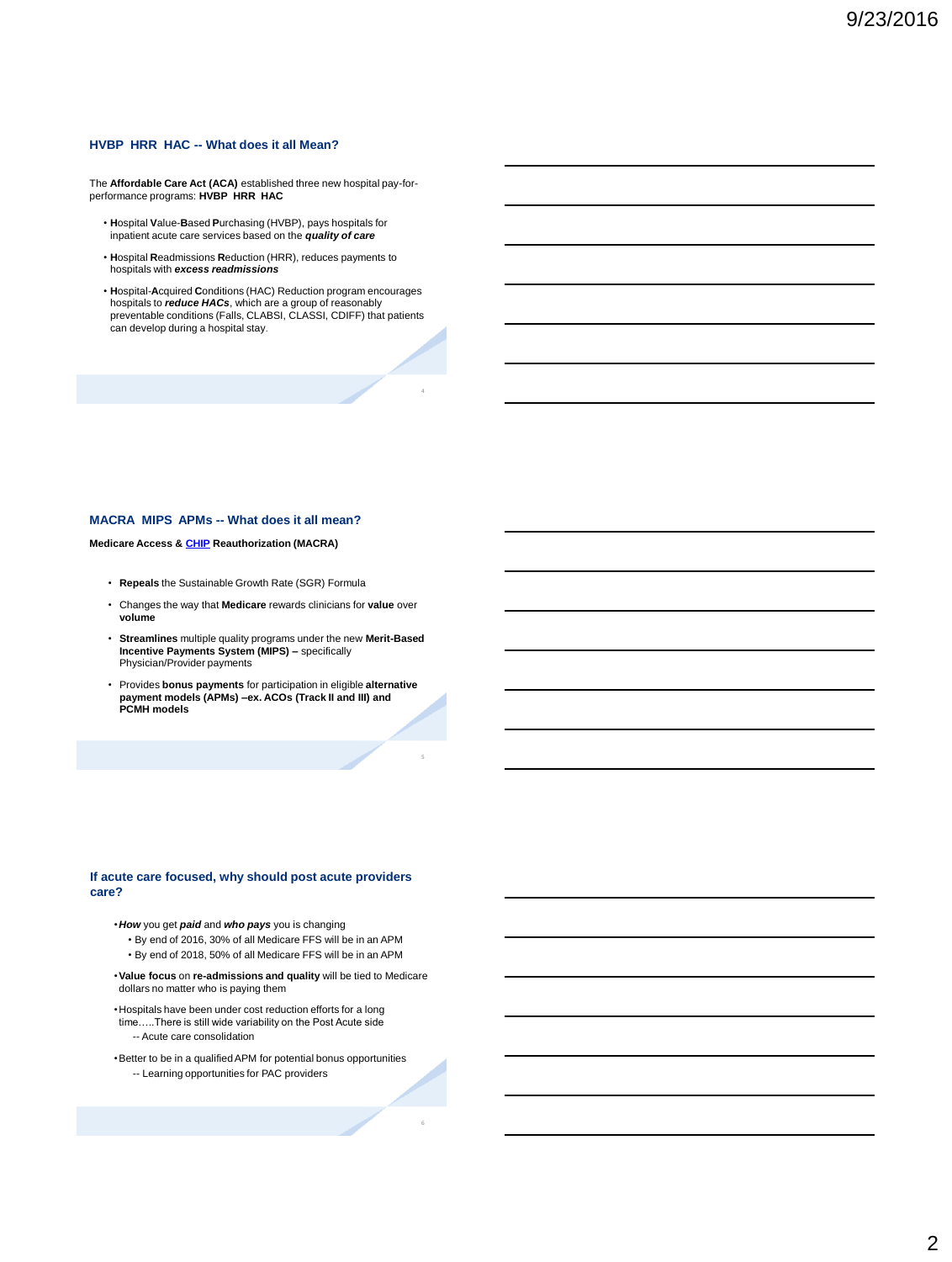#### **HVBP HRR HAC -- What does it all Mean?**

The **Affordable Care Act (ACA)** established three new hospital pay-for-performance programs: **HVBP HRR HAC**

- **H**ospital **V**alue-**B**ased **P**urchasing (HVBP), pays hospitals for inpatient acute care services based on the *quality of care*
- **H**ospital **R**eadmissions **R**eduction (HRR), reduces payments to hospitals with *excess readmissions*
- **H**ospital-**A**cquired **C**onditions (HAC) Reduction program encourages hospitals to *reduce HACs*, which are a group of reasonably preventable conditions (Falls, CLABSI, CLASSI, CDIFF) that patients can develop during a hospital stay.

4

5

#### **MACRA MIPS APMs -- What does it all mean?**

#### **Medicare Access & [CHIP](http://www.insurekidsnow.gov/chip/index.html) Reauthorization (MACRA)**

- **Repeals** the Sustainable Growth Rate (SGR) Formula
- Changes the way that **Medicare** rewards clinicians for **value** over **volume**
- **Streamlines** multiple quality programs under the new **Merit-Based Incentive Payments System (MIPS) –** specifically Physician/Provider payments
- Provides **bonus payments** for participation in eligible **alternative payment models (APMs) –ex. ACOs (Track II and III) and PCMH models**

#### **If acute care focused, why should post acute providers care?**

- •*How* you get *paid* and *who pays* you is changing
	- By end of 2016, 30% of all Medicare FFS will be in an APM • By end of 2018, 50% of all Medicare FFS will be in an APM
- •**Value focus** on **re-admissions and quality** will be tied to Medicare dollars no matter who is paying them
- •Hospitals have been under cost reduction efforts for a long time…..There is still wide variability on the Post Acute side -- Acute care consolidation
- •Better to be in a qualified APM for potential bonus opportunities -- Learning opportunities for PAC providers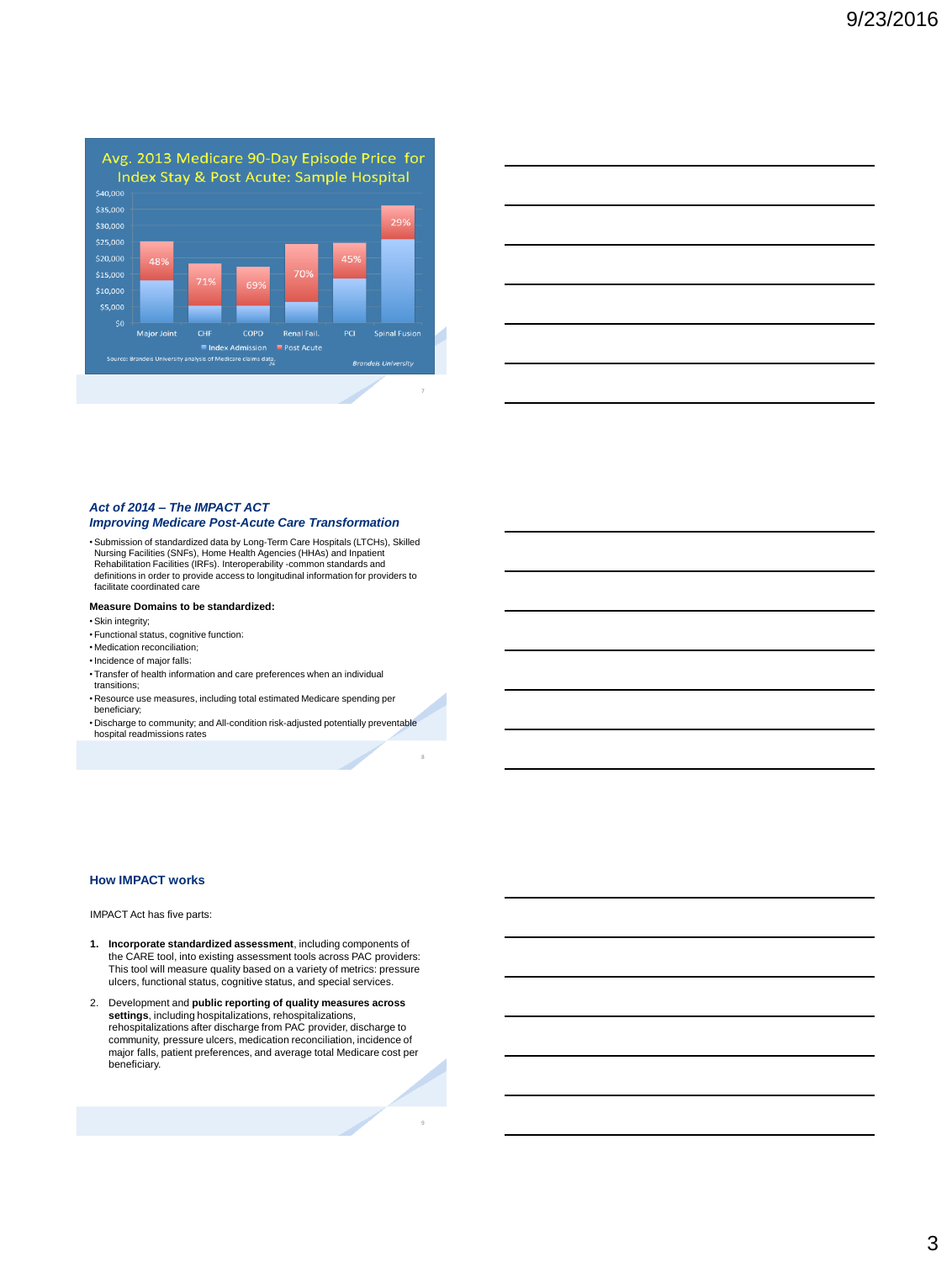

|                                                                                                                       |  | <u> 1989 - Johann Stoff, deutscher Stoff, der Stoff, der Stoff, der Stoff, der Stoff, der Stoff, der Stoff, der S</u> |
|-----------------------------------------------------------------------------------------------------------------------|--|-----------------------------------------------------------------------------------------------------------------------|
|                                                                                                                       |  | <u> 1989 - Johann Stoff, deutscher Stoffen und der Stoffen und der Stoffen und der Stoffen und der Stoffen und de</u> |
|                                                                                                                       |  | <u> 1989 - Andrea Stadt Britain, amerikansk politiker (d. 1989)</u>                                                   |
|                                                                                                                       |  | <u> 1989 - Johann Barn, amerikan bernama di sebagai bernama dan bernama di sebagai bernama di sebagai bernama di</u>  |
| <u> 1989 - Johann Stoff, deutscher Stoff, der Stoff, der Stoff, der Stoff, der Stoff, der Stoff, der Stoff, der S</u> |  | the control of the control of                                                                                         |
|                                                                                                                       |  |                                                                                                                       |

## *Act of 2014 – The IMPACT ACT*

#### *Improving Medicare Post-Acute Care Transformation*

•Submission of standardized data by Long-Term Care Hospitals (LTCHs), Skilled Nursing Facilities (SNFs), Home Health Agencies (HHAs) and Inpatient Rehabilitation Facilities (IRFs). Interoperability -common standards and definitions in order to provide access to longitudinal information for providers to facilitate coordinated care

#### **Measure Domains to be standardized:**

- •Skin integrity;
- Functional status, cognitive function;
- Medication reconciliation;
- •Incidence of major falls;
- Transfer of health information and care preferences when an individual transitions;
- Resource use measures, including total estimated Medicare spending per beneficiary;
- Discharge to community; and All-condition risk-adjusted potentially preventable hospital readmissions rates

8

#### **How IMPACT works**

#### IMPACT Act has five parts:

- **1. Incorporate standardized assessment**, including components of the CARE tool, into existing assessment tools across PAC providers: This tool will measure quality based on a variety of metrics: pressure ulcers, functional status, cognitive status, and special services.
- 2. Development and **public reporting of quality measures across settings**, including hospitalizations, rehospitalizations, rehospitalizations after discharge from PAC provider, discharge to community, pressure ulcers, medication reconciliation, incidence of major falls, patient preferences, and average total Medicare cost per beneficiary.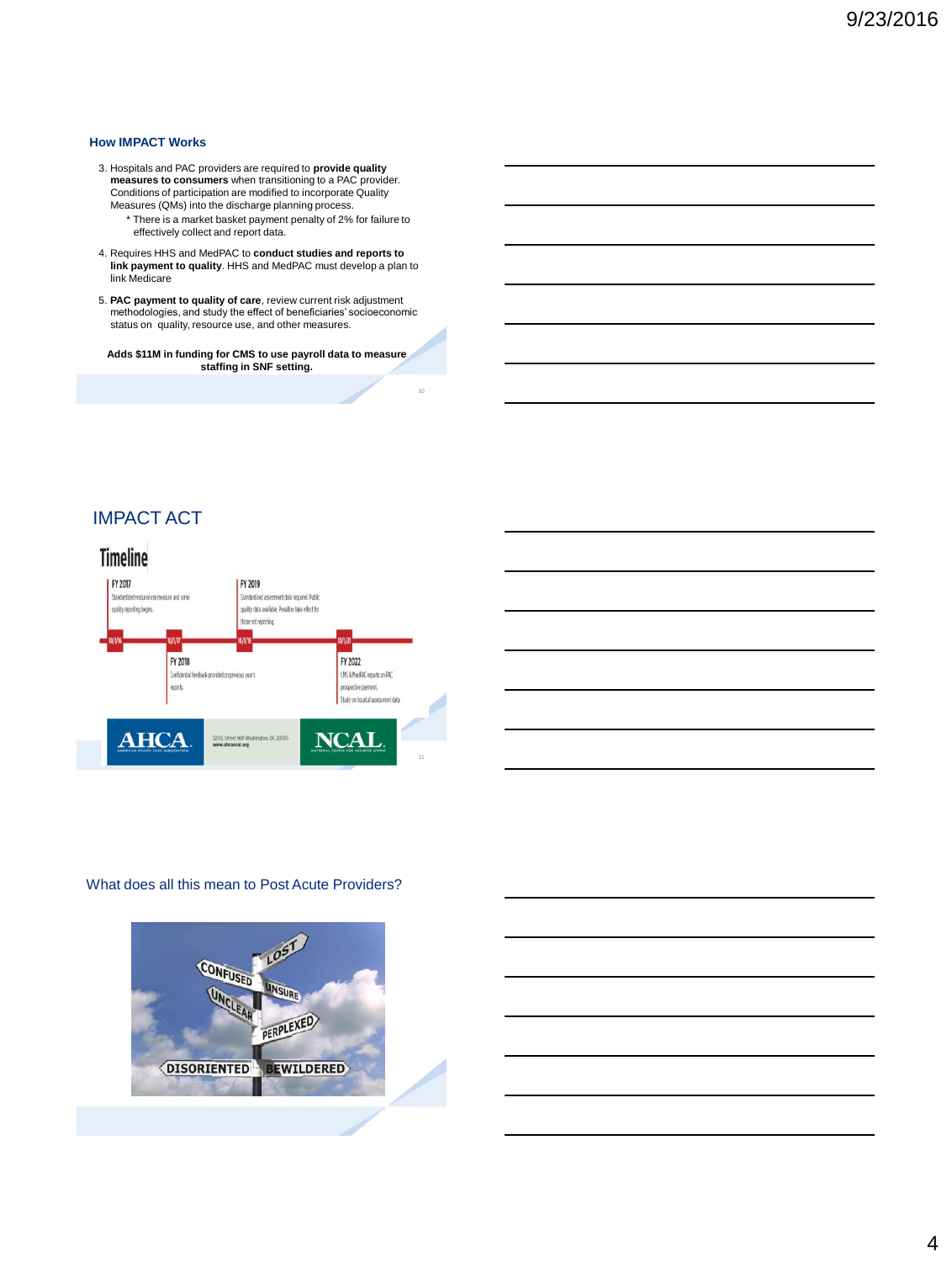#### **How IMPACT Works**

- 3. Hospitals and PAC providers are required to **provide quality measures to consumers** when transitioning to a PAC provider. Conditions of participation are modified to incorporate Quality Measures (QMs) into the discharge planning process.
	- \* There is a market basket payment penalty of 2% for failure to effectively collect and report data.
- 4. Requires HHS and MedPAC to **conduct studies and reports to link payment to quality**. HHS and MedPAC must develop a plan to link Medicare
- 5. **PAC payment to quality of care**, review current risk adjustment methodologies, and study the effect of beneficiaries' socioeconomic status on quality, resource use, and other measures.

**Adds \$11M in funding for CMS to use payroll data to measure staffing in SNF setting.**

10

## IMPACT ACT



#### What does all this mean to Post Acute Providers?

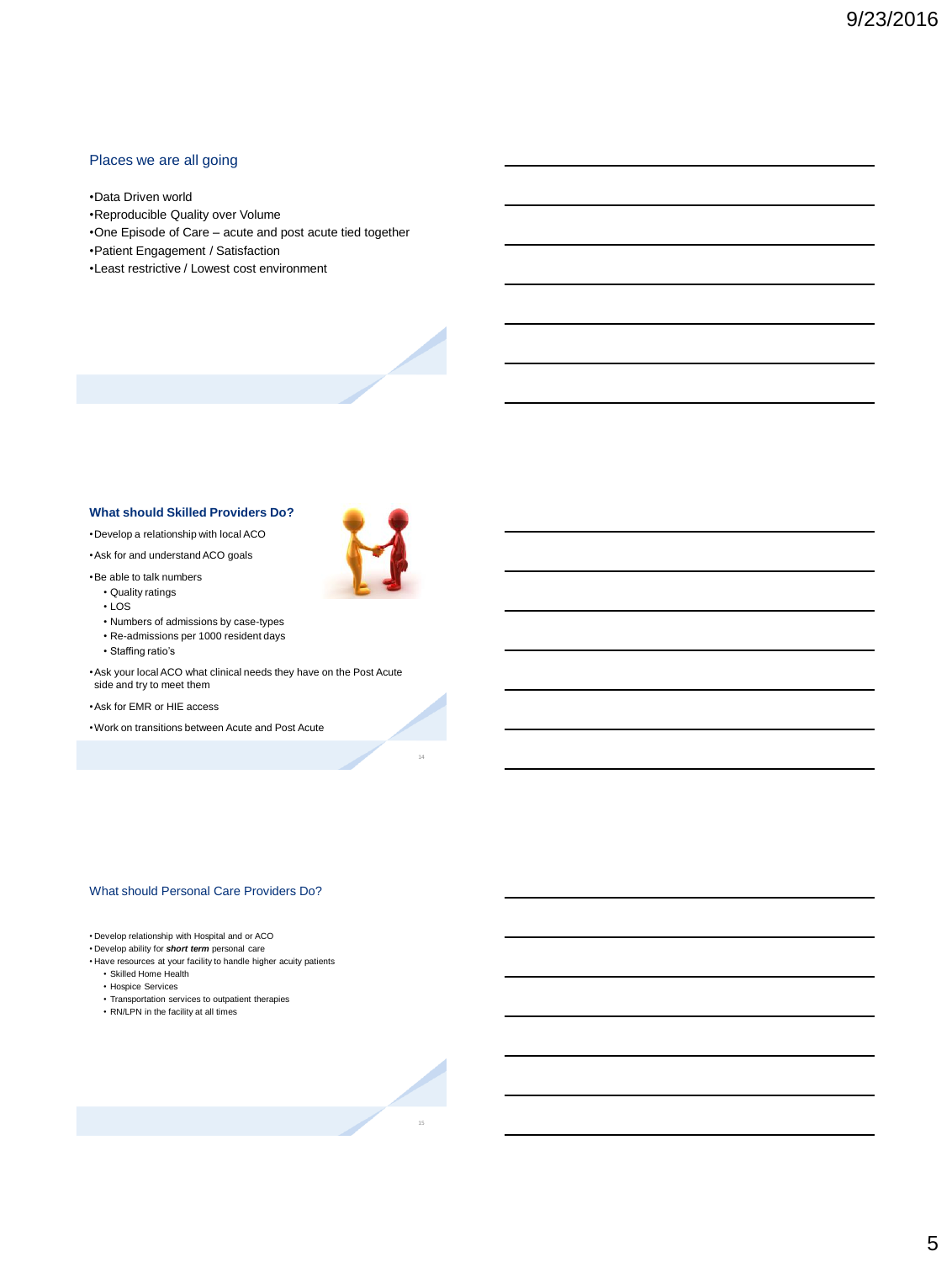## Places we are all going

•Data Driven world

- •Reproducible Quality over Volume
- •One Episode of Care acute and post acute tied together
- •Patient Engagement / Satisfaction
- •Least restrictive / Lowest cost environment



•Develop a relationship with local ACO

•Ask for and understand ACO goals

•Be able to talk numbers

- Quality ratings • LOS
- Numbers of admissions by case-types
- Re-admissions per 1000 resident days
- Staffing ratio's

•Ask your local ACO what clinical needs they have on the Post Acute side and try to meet them

•Ask for EMR or HIE access

•Work on transitions between Acute and Post Acute

14

#### What should Personal Care Providers Do?

• Develop relationship with Hospital and or ACO

• Develop ability for *short term* personal care

• Have resources at your facility to handle higher acuity patients

- Skilled Home Health
- Hospice Services
- Transportation services to outpatient therapies • RN/LPN in the facility at all times
- 

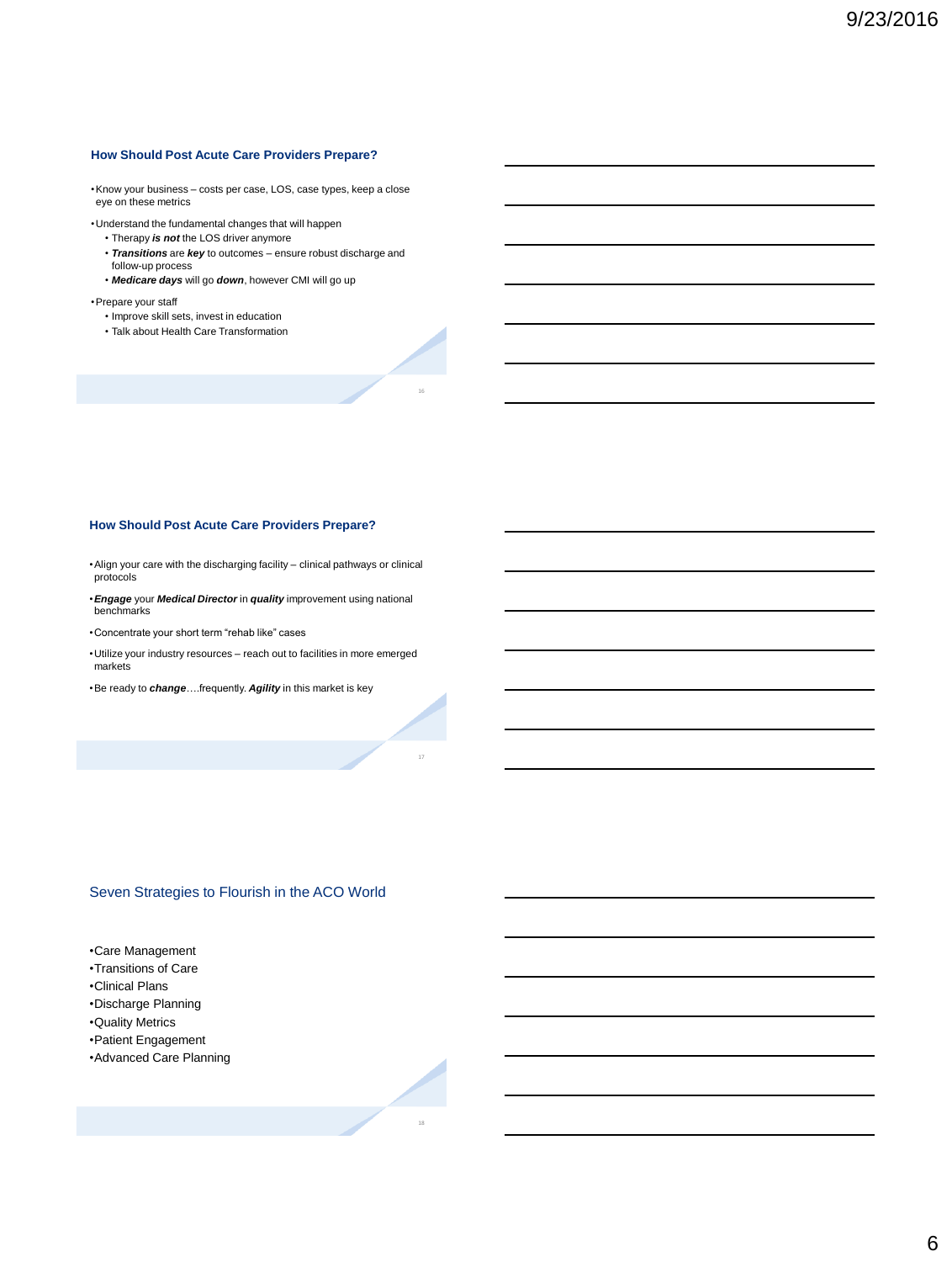#### **How Should Post Acute Care Providers Prepare?**

•Know your business – costs per case, LOS, case types, keep a close eye on these metrics

•Understand the fundamental changes that will happen

- Therapy *is not* the LOS driver anymore
- *Transitions* are *key* to outcomes ensure robust discharge and follow-up process

16

18

• *Medicare days* will go *down*, however CMI will go up

•Prepare your staff

- Improve skill sets, invest in education
- Talk about Health Care Transformation

#### **How Should Post Acute Care Providers Prepare?**

•Align your care with the discharging facility – clinical pathways or clinical protocols

- •*Engage* your *Medical Director* in *quality* improvement using national benchmarks
- •Concentrate your short term "rehab like" cases
- •Utilize your industry resources reach out to facilities in more emerged markets
- •Be ready to *change*….frequently. *Agility* in this market is key

## Seven Strategies to Flourish in the ACO World

- •Care Management
- •Transitions of Care
- •Clinical Plans
- •Discharge Planning
- •Quality Metrics
- •Patient Engagement
- •Advanced Care Planning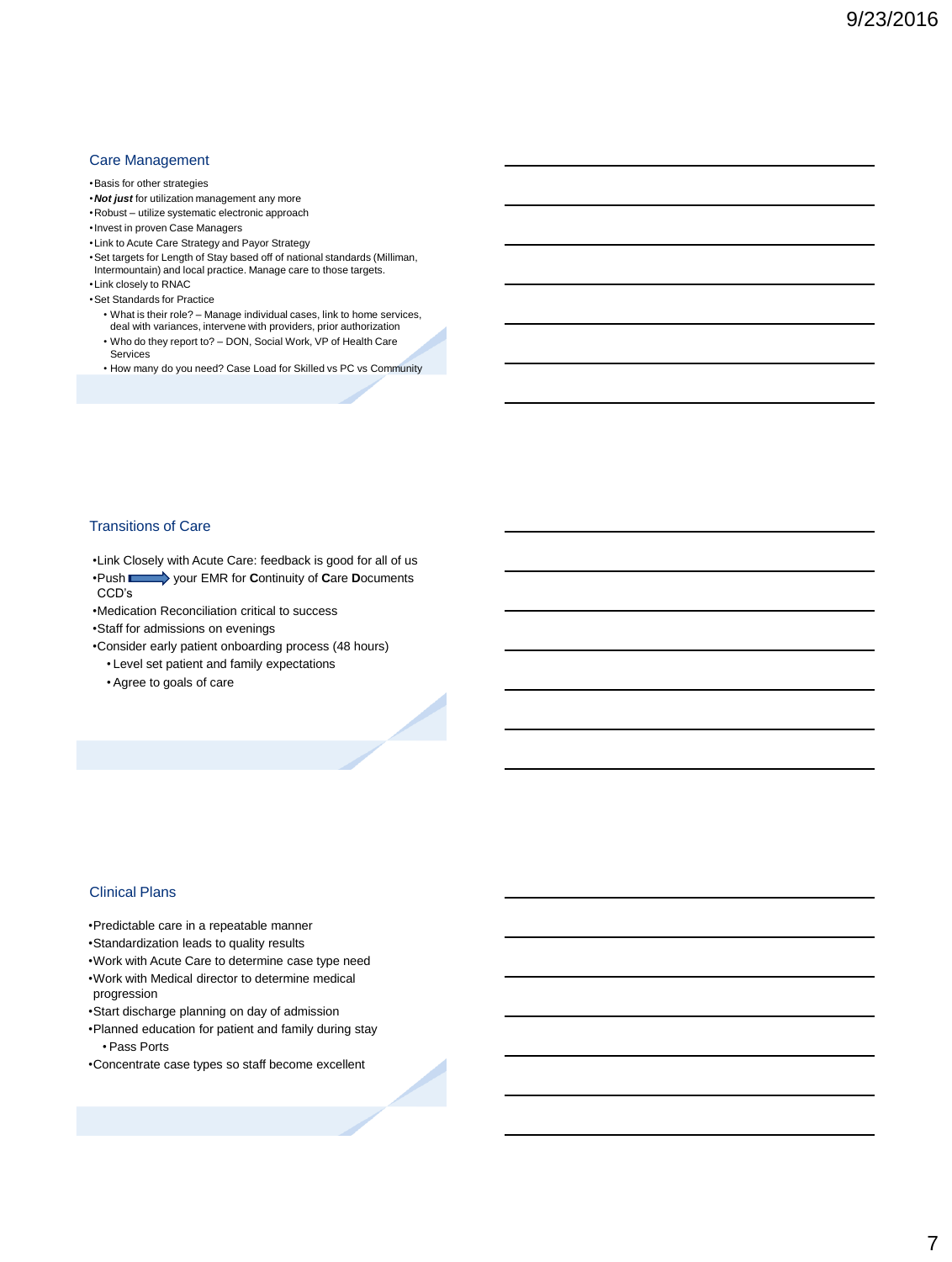## Care Management

#### •Basis for other strategies

- •*Not just* for utilization management any more
- •Robust utilize systematic electronic approach
- •Invest in proven Case Managers
- •Link to Acute Care Strategy and Payor Strategy
- •Set targets for Length of Stay based off of national standards (Milliman, Intermountain) and local practice. Manage care to those targets.
- •Link closely to RNAC
- •Set Standards for Practice
	- What is their role? Manage individual cases, link to home services, deal with variances, intervene with providers, prior authorization
	- Who do they report to? DON, Social Work, VP of Health Care Services
	- How many do you need? Case Load for Skilled vs PC vs Community

## Transitions of Care

•Link Closely with Acute Care: feedback is good for all of us •Push your EMR for **C**ontinuity of **C**are **D**ocuments CCD's

•Medication Reconciliation critical to success

•Staff for admissions on evenings

- •Consider early patient onboarding process (48 hours)
	- Level set patient and family expectations
	- Agree to goals of care

### Clinical Plans

•Predictable care in a repeatable manner

- •Standardization leads to quality results
- •Work with Acute Care to determine case type need •Work with Medical director to determine medical progression
- •Start discharge planning on day of admission
- •Planned education for patient and family during stay • Pass Ports
- •Concentrate case types so staff become excellent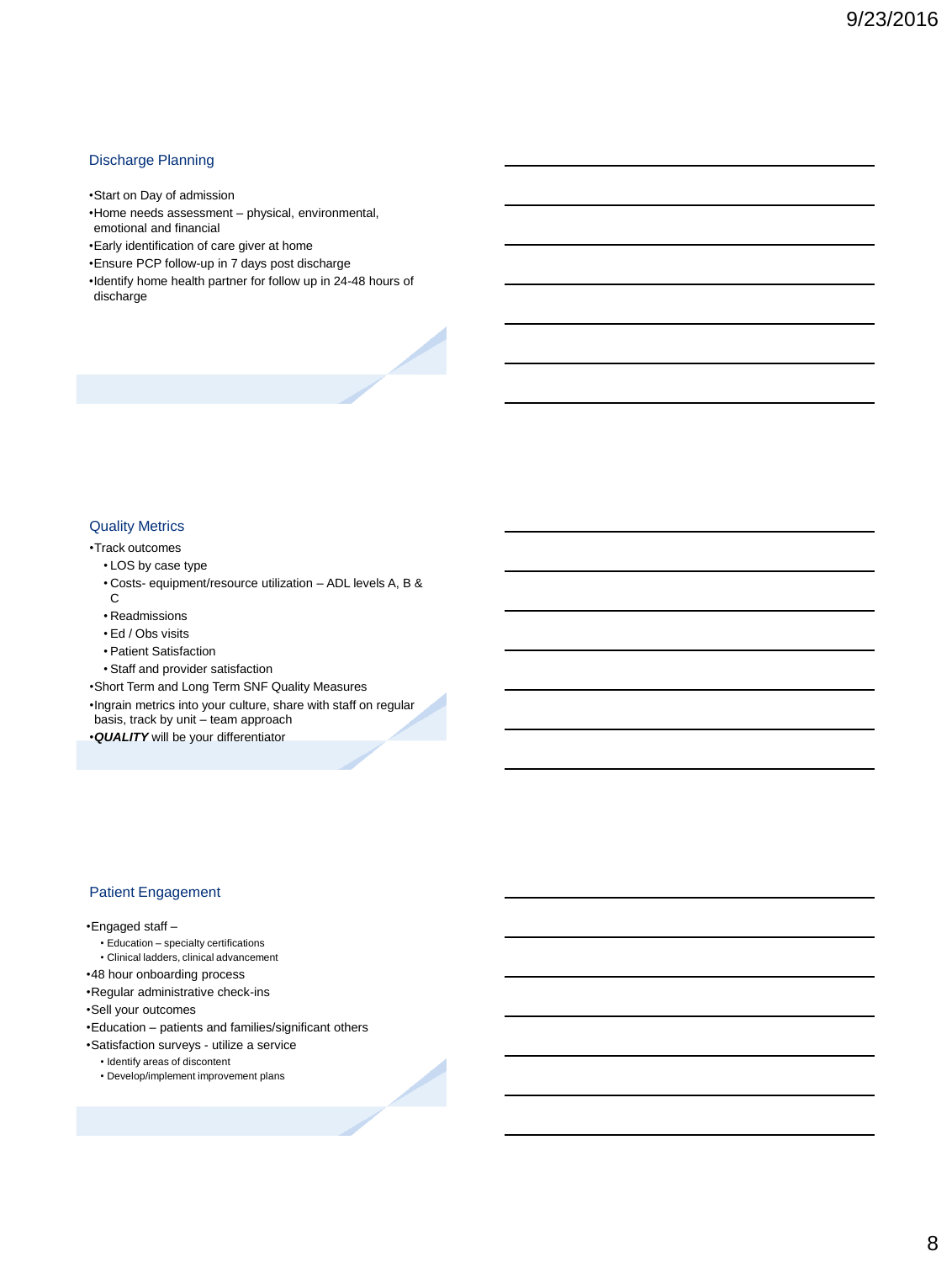## Discharge Planning

•Start on Day of admission

- •Home needs assessment physical, environmental, emotional and financial
- •Early identification of care giver at home
- •Ensure PCP follow-up in 7 days post discharge
- •Identify home health partner for follow up in 24-48 hours of discharge

## Quality Metrics

## •Track outcomes

- LOS by case type
- Costs- equipment/resource utilization ADL levels A, B & C
- Readmissions
- Ed / Obs visits
- Patient Satisfaction
- Staff and provider satisfaction

•Short Term and Long Term SNF Quality Measures

•Ingrain metrics into your culture, share with staff on regular

basis, track by unit – team approach

•*QUALITY* will be your differentiator

## Patient Engagement

#### •Engaged staff –

- Education specialty certifications
- Clinical ladders, clinical advancement
- •48 hour onboarding process
- •Regular administrative check-ins
- •Sell your outcomes
- •Education patients and families/significant others
- •Satisfaction surveys utilize a service
	- Identify areas of discontent
	- Develop/implement improvement plans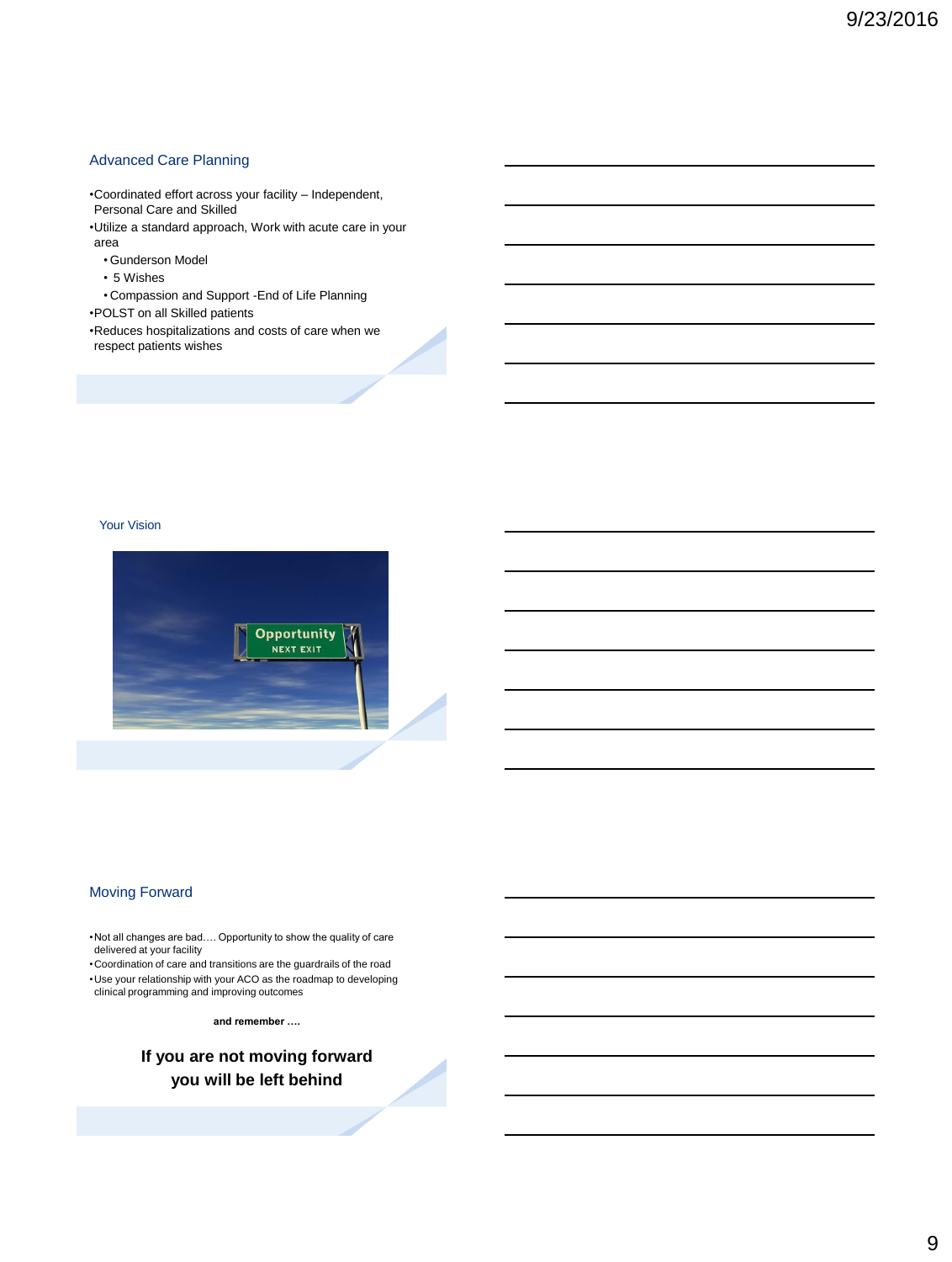## Advanced Care Planning

•Coordinated effort across your facility – Independent, Personal Care and Skilled

- •Utilize a standard approach, Work with acute care in your area
	- Gunderson Model
	- 5 Wishes

• Compassion and Support -End of Life Planning

•POLST on all Skilled patients

•Reduces hospitalizations and costs of care when we respect patients wishes

Your Vision



## Moving Forward

•Not all changes are bad…. Opportunity to show the quality of care delivered at your facility

•Coordination of care and transitions are the guardrails of the road •Use your relationship with your ACO as the roadmap to developing clinical programming and improving outcomes

**and remember ….**

**If you are not moving forward you will be left behind**